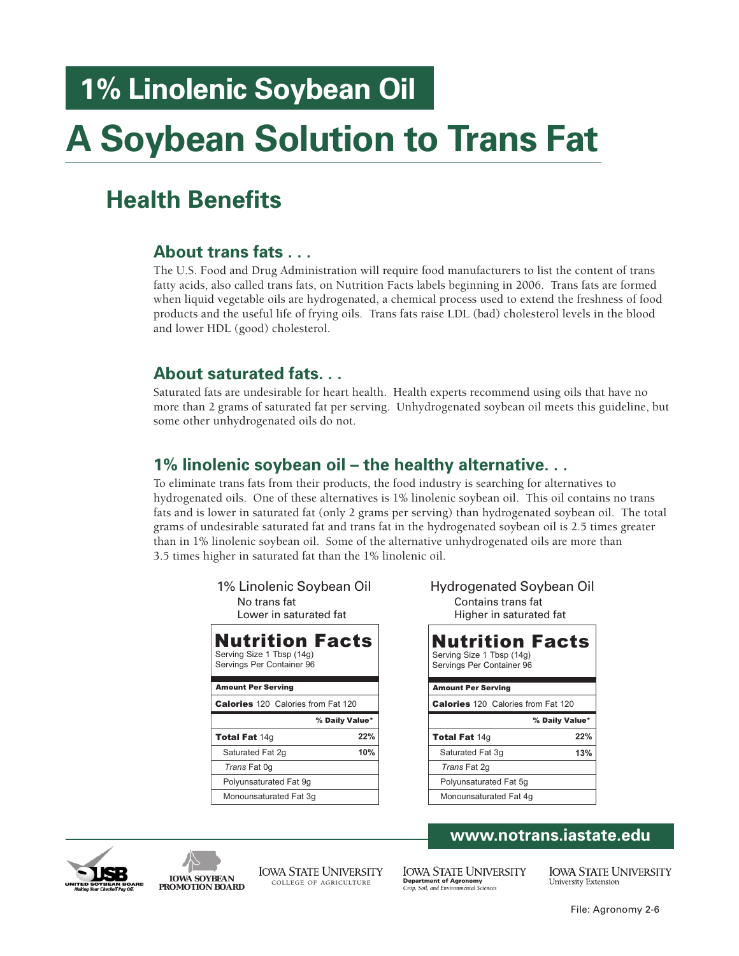# **1% Linolenic Soybean Oil**

# **A Soybean Solution to Trans Fat**

## **Health Benefits**

### **About trans fats . . .**

The U.S. Food and Drug Administration will require food manufacturers to list the content of trans fatty acids, also called trans fats, on Nutrition Facts labels beginning in 2006. Trans fats are formed when liquid vegetable oils are hydrogenated, a chemical process used to extend the freshness of food products and the useful life of frying oils. Trans fats raise LDL (bad) cholesterol levels in the blood and lower HDL (good) cholesterol.

### **About saturated fats. . .**

Saturated fats are undesirable for heart health. Health experts recommend using oils that have no more than 2 grams of saturated fat per serving. Unhydrogenated soybean oil meets this guideline, but some other unhydrogenated oils do not.

### **1% linolenic soybean oil – the healthy alternative. . .**

To eliminate trans fats from their products, the food industry is searching for alternatives to hydrogenated oils. One of these alternatives is 1% linolenic soybean oil. This oil contains no trans fats and is lower in saturated fat (only 2 grams per serving) than hydrogenated soybean oil. The total grams of undesirable saturated fat and trans fat in the hydrogenated soybean oil is 2.5 times greater than in 1% linolenic soybean oil. Some of the alternative unhydrogenated oils are more than 3.5 times higher in saturated fat than the 1% linolenic oil.

| 1% Linolenic Soybean Oil<br>No trans fat<br>Lower in saturated fat               |     |
|----------------------------------------------------------------------------------|-----|
| <b>Nutrition Facts</b><br>Serving Size 1 Tbsp (14g)<br>Servings Per Container 96 |     |
| <b>Amount Per Serving</b>                                                        |     |
| <b>Calories</b> 120 Calories from Fat 120                                        |     |
| % Daily Value*                                                                   |     |
| <b>Total Fat 14g</b>                                                             | 22% |
| Saturated Fat 2g                                                                 | 10% |
| Trans Fat 0q                                                                     |     |
|                                                                                  |     |
| Polyunsaturated Fat 9q                                                           |     |

| 1% Linolenic Soybean Oil<br>No trans fat<br>Lower in saturated fat        |                | <b>Hydrogenated Soybean Oil</b><br>Contains trans fat<br>Higher in saturated fat |
|---------------------------------------------------------------------------|----------------|----------------------------------------------------------------------------------|
| Nutrition Facts<br>Serving Size 1 Tbsp (14g)<br>Servings Per Container 96 |                | <b>Nutrition Facts</b><br>Serving Size 1 Tbsp (14g)<br>Servings Per Container 96 |
| <b>Amount Per Serving</b>                                                 |                | <b>Amount Per Serving</b>                                                        |
| <b>Calories</b> 120 Calories from Fat 120                                 |                | <b>Calories</b> 120 Calories from Fat 120                                        |
|                                                                           | % Daily Value* | % Daily Value*                                                                   |
| Total Fat 14q                                                             | 22%            | 22%<br><b>Total Fat 14g</b>                                                      |
| Saturated Fat 2q                                                          | 10%            | Saturated Fat 3q<br>13%                                                          |
| Trans Fat 0q                                                              |                | Trans Fat 2q                                                                     |
| Polyunsaturated Fat 9q                                                    |                | Polyunsaturated Fat 5q                                                           |
| Monounsaturated Fat 3q                                                    |                | Monounsaturated Fat 4q                                                           |
|                                                                           |                |                                                                                  |





**IOWA SOYBEAN PROMOTION BOARD** **IOWA STATE UNIVERSITY** COLLEGE OF AGRICULTURE

**IOWA STATE UNIVERSITY Department of Agronomy** *Crop, Soil, and Environmental Sciences*

**IOWA STATE UNIVERSITY University Extension**